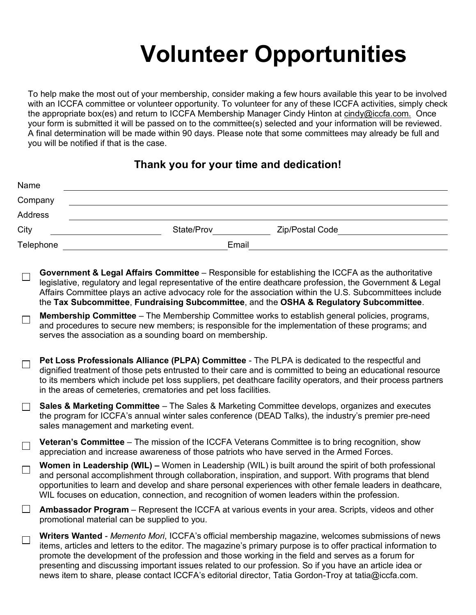## **Volunteer Opportunities**

To help make the most out of your membership, consider making a few hours available this year to be involved with an ICCFA committee or volunteer opportunity. To volunteer for any of these ICCFA activities, simply check the appropriate box(es) and return to ICCFA Membership Manager Cindy Hinton at cindy@iccfa.com. Once your form is submitted it will be passed on to the committee(s) selected and your information will be reviewed. A final determination will be made within 90 days. Please note that some committees may already be full and you will be notified if that is the case.

## **Thank you for your time and dedication!**

|                    | Name                                                                                                                                                                                                                                                                                                                                                                                                                                |  |
|--------------------|-------------------------------------------------------------------------------------------------------------------------------------------------------------------------------------------------------------------------------------------------------------------------------------------------------------------------------------------------------------------------------------------------------------------------------------|--|
|                    | Company                                                                                                                                                                                                                                                                                                                                                                                                                             |  |
|                    | Address                                                                                                                                                                                                                                                                                                                                                                                                                             |  |
| City               | State/Prov<br>Zip/Postal Code                                                                                                                                                                                                                                                                                                                                                                                                       |  |
| Telephone<br>Email |                                                                                                                                                                                                                                                                                                                                                                                                                                     |  |
|                    | Government & Legal Affairs Committee - Responsible for establishing the ICCFA as the authoritative<br>legislative, regulatory and legal representative of the entire deathcare profession, the Government & Legal<br>Affairs Committee plays an active advocacy role for the association within the U.S. Subcommittees include<br>the Tax Subcommittee, Fundraising Subcommittee, and the OSHA & Regulatory Subcommittee.           |  |
| $\Box$             | Membership Committee - The Membership Committee works to establish general policies, programs,<br>and procedures to secure new members; is responsible for the implementation of these programs; and<br>serves the association as a sounding board on membership.                                                                                                                                                                   |  |
| $\Box$             | Pet Loss Professionals Alliance (PLPA) Committee - The PLPA is dedicated to the respectful and<br>dignified treatment of those pets entrusted to their care and is committed to being an educational resource<br>to its members which include pet loss suppliers, pet deathcare facility operators, and their process partners<br>in the areas of cemeteries, crematories and pet loss facilities.                                  |  |
|                    | Sales & Marketing Committee - The Sales & Marketing Committee develops, organizes and executes<br>the program for ICCFA's annual winter sales conference (DEAD Talks), the industry's premier pre-need<br>sales management and marketing event.                                                                                                                                                                                     |  |
|                    | <b>Veteran's Committee</b> – The mission of the ICCFA Veterans Committee is to bring recognition, show<br>appreciation and increase awareness of those patriots who have served in the Armed Forces.                                                                                                                                                                                                                                |  |
| $\Box$             | <b>Women in Leadership (WIL)</b> – Women in Leadership (WIL) is built around the spirit of both professional<br>and personal accomplishment through collaboration, inspiration, and support. With programs that blend<br>opportunities to learn and develop and share personal experiences with other female leaders in deathcare,<br>WIL focuses on education, connection, and recognition of women leaders within the profession. |  |
| ⊔                  | Ambassador Program – Represent the ICCFA at various events in your area. Scripts, videos and other<br>promotional material can be supplied to you.                                                                                                                                                                                                                                                                                  |  |
|                    | Writers Wanted Memente Meri ICCEA's official membership magazine welcomes submissions of news                                                                                                                                                                                                                                                                                                                                       |  |

**s Wanted** - *Memento Mori*, ICCFA's official membership magazine, welcomes submissions of news  $\Box$ items, articles and letters to the editor. The magazine's primary purpose is to offer practical information to promote the development of the profession and those working in the field and serves as a forum for presenting and discussing important issues related to our profession. So if you have an article idea or news item to share, please contact ICCFA's editorial director, Tatia Gordon-Troy at tatia@iccfa.com.